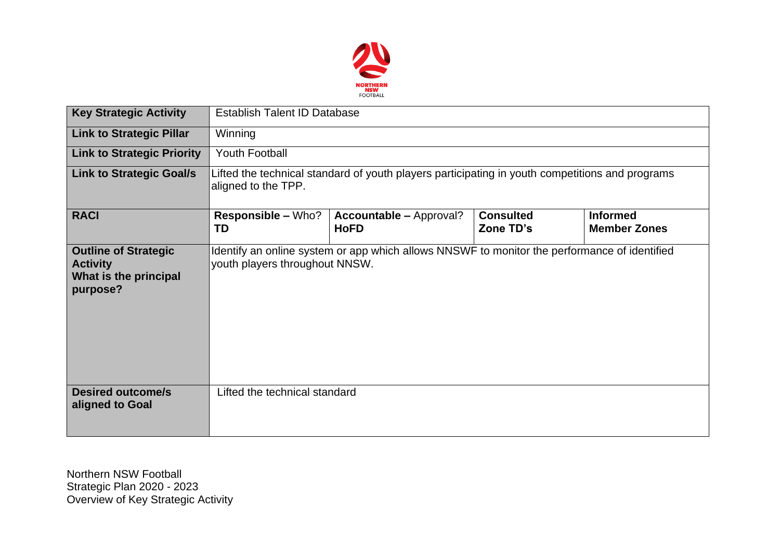

| <b>Key Strategic Activity</b>                                                       | <b>Establish Talent ID Database</b>                                                                                            |                                               |                               |                                        |  |  |  |
|-------------------------------------------------------------------------------------|--------------------------------------------------------------------------------------------------------------------------------|-----------------------------------------------|-------------------------------|----------------------------------------|--|--|--|
| <b>Link to Strategic Pillar</b>                                                     | Winning                                                                                                                        |                                               |                               |                                        |  |  |  |
| <b>Link to Strategic Priority</b>                                                   | <b>Youth Football</b>                                                                                                          |                                               |                               |                                        |  |  |  |
| <b>Link to Strategic Goal/s</b>                                                     | Lifted the technical standard of youth players participating in youth competitions and programs<br>aligned to the TPP.         |                                               |                               |                                        |  |  |  |
| <b>RACI</b>                                                                         | <b>Responsible – Who?</b><br><b>TD</b>                                                                                         | <b>Accountable - Approval?</b><br><b>HoFD</b> | <b>Consulted</b><br>Zone TD's | <b>Informed</b><br><b>Member Zones</b> |  |  |  |
| <b>Outline of Strategic</b><br><b>Activity</b><br>What is the principal<br>purpose? | Identify an online system or app which allows NNSWF to monitor the performance of identified<br>youth players throughout NNSW. |                                               |                               |                                        |  |  |  |
| <b>Desired outcome/s</b><br>aligned to Goal                                         | Lifted the technical standard                                                                                                  |                                               |                               |                                        |  |  |  |

Northern NSW Football Strategic Plan 2020 - 2023 Overview of Key Strategic Activity